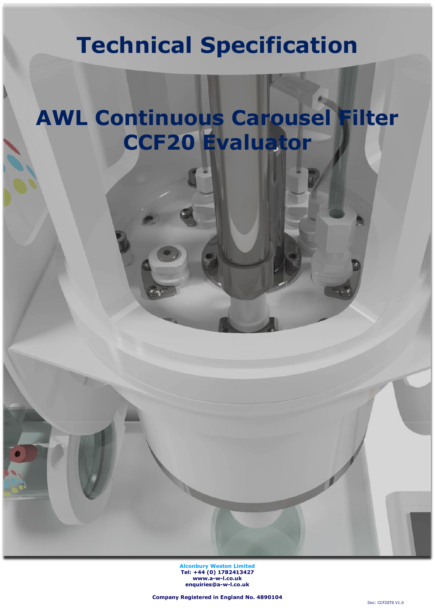# **Technical Specification**

# **AWL Continuous Carousel Filter CCF20 Evaluator**

**Alconbury Weston Limited Tel: +44 (0) 1782413427 [www.a-w-l.co.uk](http://www.a-w-l.co.uk/) enquiries@a-w-l.co.uk**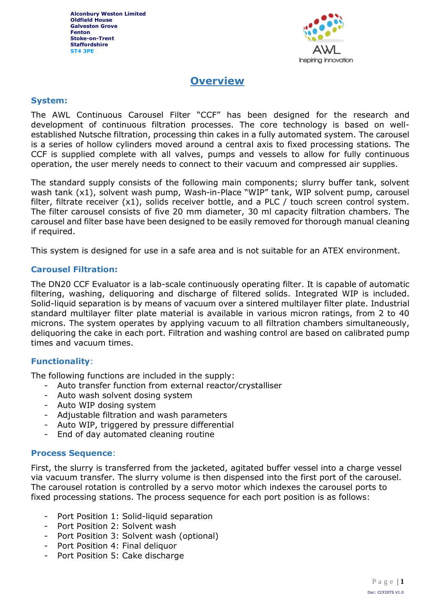

### **Overview**

### **System:**

The AWL Continuous Carousel Filter "CCF" has been designed for the research and development of continuous filtration processes. The core technology is based on wellestablished Nutsche filtration, processing thin cakes in a fully automated system. The carousel is a series of hollow cylinders moved around a central axis to fixed processing stations. The CCF is supplied complete with all valves, pumps and vessels to allow for fully continuous operation, the user merely needs to connect to their vacuum and compressed air supplies.

The standard supply consists of the following main components; slurry buffer tank, solvent wash tank (x1), solvent wash pump, Wash-in-Place "WIP" tank, WIP solvent pump, carousel filter, filtrate receiver (x1), solids receiver bottle, and a PLC / touch screen control system. The filter carousel consists of five 20 mm diameter, 30 ml capacity filtration chambers. The carousel and filter base have been designed to be easily removed for thorough manual cleaning if required.

This system is designed for use in a safe area and is not suitable for an ATEX environment.

### **Carousel Filtration:**

The DN20 CCF Evaluator is a lab-scale continuously operating filter. It is capable of automatic filtering, washing, deliquoring and discharge of filtered solids. Integrated WIP is included. Solid-liquid separation is by means of vacuum over a sintered multilayer filter plate. Industrial standard multilayer filter plate material is available in various micron ratings, from 2 to 40 microns. The system operates by applying vacuum to all filtration chambers simultaneously, deliquoring the cake in each port. Filtration and washing control are based on calibrated pump times and vacuum times.

### **Functionality**:

The following functions are included in the supply:

- Auto transfer function from external reactor/crystalliser
- Auto wash solvent dosing system
- Auto WIP dosing system
- Adjustable filtration and wash parameters
- Auto WIP, triggered by pressure differential
- End of day automated cleaning routine

### **Process Sequence**:

First, the slurry is transferred from the jacketed, agitated buffer vessel into a charge vessel via vacuum transfer. The slurry volume is then dispensed into the first port of the carousel. The carousel rotation is controlled by a servo motor which indexes the carousel ports to fixed processing stations. The process sequence for each port position is as follows:

- Port Position 1: Solid-liquid separation
- Port Position 2: Solvent wash
- Port Position 3: Solvent wash (optional)
- Port Position 4: Final deliquor
- Port Position 5: Cake discharge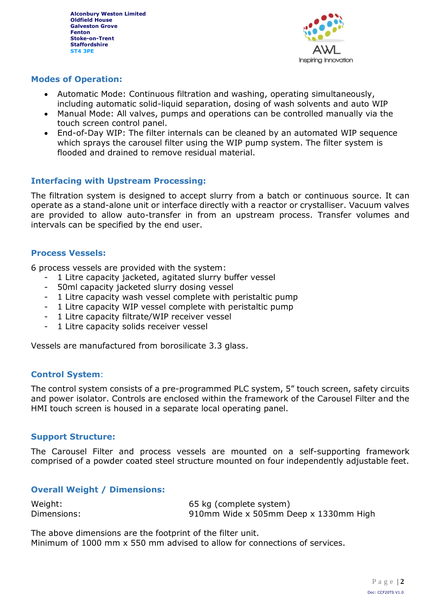

### **Modes of Operation:**

- Automatic Mode: Continuous filtration and washing, operating simultaneously, including automatic solid-liquid separation, dosing of wash solvents and auto WIP
- Manual Mode: All valves, pumps and operations can be controlled manually via the touch screen control panel.
- End-of-Day WIP: The filter internals can be cleaned by an automated WIP sequence which sprays the carousel filter using the WIP pump system. The filter system is flooded and drained to remove residual material.

### **Interfacing with Upstream Processing:**

The filtration system is designed to accept slurry from a batch or continuous source. It can operate as a stand-alone unit or interface directly with a reactor or crystalliser. Vacuum valves are provided to allow auto-transfer in from an upstream process. Transfer volumes and intervals can be specified by the end user.

### **Process Vessels:**

6 process vessels are provided with the system:

- 1 Litre capacity jacketed, agitated slurry buffer vessel
- 50ml capacity jacketed slurry dosing vessel
- 1 Litre capacity wash vessel complete with peristaltic pump
- 1 Litre capacity WIP vessel complete with peristaltic pump
- 1 Litre capacity filtrate/WIP receiver vessel
- 1 Litre capacity solids receiver vessel

Vessels are manufactured from borosilicate 3.3 glass.

### **Control System**:

The control system consists of a pre-programmed PLC system, 5" touch screen, safety circuits and power isolator. Controls are enclosed within the framework of the Carousel Filter and the HMI touch screen is housed in a separate local operating panel.

### **Support Structure:**

The Carousel Filter and process vessels are mounted on a self-supporting framework comprised of a powder coated steel structure mounted on four independently adjustable feet.

### **Overall Weight / Dimensions:**

| Weight:     | 65 kg (complete system)               |
|-------------|---------------------------------------|
| Dimensions: | 910mm Wide x 505mm Deep x 1330mm High |

The above dimensions are the footprint of the filter unit. Minimum of 1000 mm x 550 mm advised to allow for connections of services.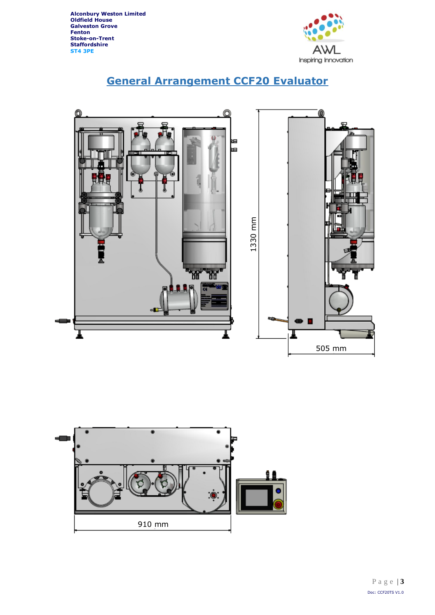

# **General Arrangement CCF20 Evaluator**



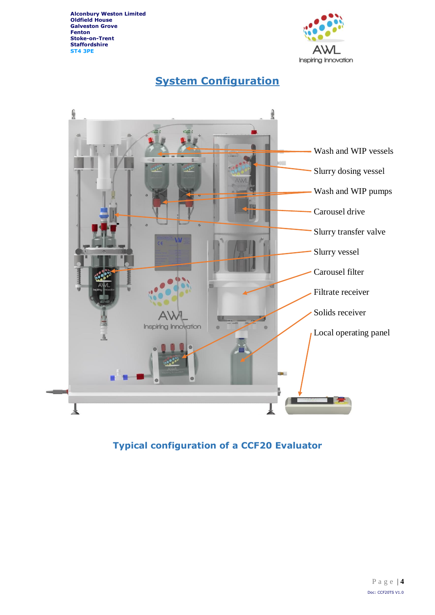

# **System Configuration**



## **Typical configuration of a CCF20 Evaluator**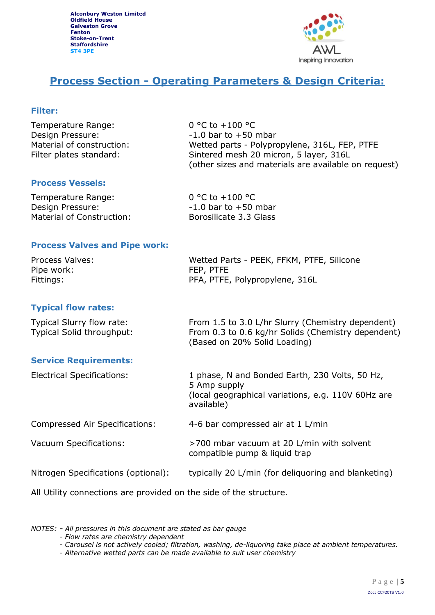

## **Process Section - Operating Parameters & Design Criteria:**

### **Filter:**

| Temperature Range:        | 0 °C to $+100$ °C                                    |
|---------------------------|------------------------------------------------------|
| Design Pressure:          | $-1.0$ bar to $+50$ mbar                             |
| Material of construction: | Wetted parts - Polypropylene, 316L, FEP, PTFE        |
| Filter plates standard:   | Sintered mesh 20 micron, 5 layer, 316L               |
|                           | (other sizes and materials are available on request) |

### **Process Vessels:**

| Temperature Range:        | 0 °C to $+100$ °C        |
|---------------------------|--------------------------|
| Design Pressure:          | $-1.0$ bar to $+50$ mbar |
| Material of Construction: | Borosilicate 3.3 Glass   |

### **Process Valves and Pipe work:**

| Process Valves: | Wetted Parts - PEEK, FFKM, PTFE, Silicone |
|-----------------|-------------------------------------------|
| Pipe work:      | FEP, PTFE                                 |
| Fittings:       | PFA, PTFE, Polypropylene, 316L            |

### **Typical flow rates:**

| Typical Slurry flow rate: | From 1.5 to 3.0 L/hr Slurry (Chemistry dependent)  |
|---------------------------|----------------------------------------------------|
| Typical Solid throughput: | From 0.3 to 0.6 kg/hr Solids (Chemistry dependent) |
|                           | (Based on 20% Solid Loading)                       |

### **Service Requirements:**

| <b>Electrical Specifications:</b>   | 1 phase, N and Bonded Earth, 230 Volts, 50 Hz,<br>5 Amp supply<br>(local geographical variations, e.g. 110V 60Hz are<br>available) |
|-------------------------------------|------------------------------------------------------------------------------------------------------------------------------------|
| Compressed Air Specifications:      | 4-6 bar compressed air at 1 L/min                                                                                                  |
| Vacuum Specifications:              | >700 mbar vacuum at 20 L/min with solvent<br>compatible pump & liquid trap                                                         |
| Nitrogen Specifications (optional): | typically 20 L/min (for deliquoring and blanketing)                                                                                |
|                                     |                                                                                                                                    |

All Utility connections are provided on the side of the structure.

#### *NOTES: - All pressures in this document are stated as bar gauge*

- *- Flow rates are chemistry dependent*
- *- Carousel is not actively cooled; filtration, washing, de-liquoring take place at ambient temperatures.*
- *- Alternative wetted parts can be made available to suit user chemistry*